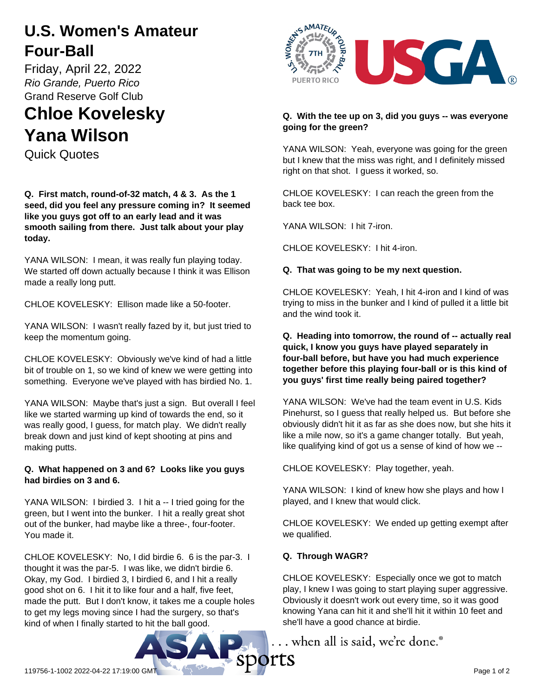## **U.S. Women's Amateur Four-Ball**

Friday, April 22, 2022 *Rio Grande, Puerto Rico* Grand Reserve Golf Club

# **Chloe Kovelesky Yana Wilson**

Quick Quotes

**Q. First match, round-of-32 match, 4 & 3. As the 1 seed, did you feel any pressure coming in? It seemed like you guys got off to an early lead and it was smooth sailing from there. Just talk about your play today.**

YANA WILSON: I mean, it was really fun playing today. We started off down actually because I think it was Ellison made a really long putt.

CHLOE KOVELESKY: Ellison made like a 50-footer.

YANA WILSON: I wasn't really fazed by it, but just tried to keep the momentum going.

CHLOE KOVELESKY: Obviously we've kind of had a little bit of trouble on 1, so we kind of knew we were getting into something. Everyone we've played with has birdied No. 1.

YANA WILSON: Maybe that's just a sign. But overall I feel like we started warming up kind of towards the end, so it was really good, I guess, for match play. We didn't really break down and just kind of kept shooting at pins and making putts.

#### **Q. What happened on 3 and 6? Looks like you guys had birdies on 3 and 6.**

YANA WILSON: I birdied 3. I hit a -- I tried going for the green, but I went into the bunker. I hit a really great shot out of the bunker, had maybe like a three-, four-footer. You made it.

CHLOE KOVELESKY: No, I did birdie 6. 6 is the par-3. I thought it was the par-5. I was like, we didn't birdie 6. Okay, my God. I birdied 3, I birdied 6, and I hit a really good shot on 6. I hit it to like four and a half, five feet, made the putt. But I don't know, it takes me a couple holes to get my legs moving since I had the surgery, so that's kind of when I finally started to hit the ball good.



#### **Q. With the tee up on 3, did you guys -- was everyone going for the green?**

YANA WILSON: Yeah, everyone was going for the green but I knew that the miss was right, and I definitely missed right on that shot. I guess it worked, so.

CHLOE KOVELESKY: I can reach the green from the back tee box.

YANA WILSON: I hit 7-iron.

CHLOE KOVELESKY: I hit 4-iron.

#### **Q. That was going to be my next question.**

CHLOE KOVELESKY: Yeah, I hit 4-iron and I kind of was trying to miss in the bunker and I kind of pulled it a little bit and the wind took it.

#### **Q. Heading into tomorrow, the round of -- actually real quick, I know you guys have played separately in four-ball before, but have you had much experience together before this playing four-ball or is this kind of you guys' first time really being paired together?**

YANA WILSON: We've had the team event in U.S. Kids Pinehurst, so I guess that really helped us. But before she obviously didn't hit it as far as she does now, but she hits it like a mile now, so it's a game changer totally. But yeah, like qualifying kind of got us a sense of kind of how we --

CHLOE KOVELESKY: Play together, yeah.

YANA WILSON: I kind of knew how she plays and how I played, and I knew that would click.

CHLOE KOVELESKY: We ended up getting exempt after we qualified.

### **Q. Through WAGR?**

CHLOE KOVELESKY: Especially once we got to match play, I knew I was going to start playing super aggressive. Obviously it doesn't work out every time, so it was good knowing Yana can hit it and she'll hit it within 10 feet and she'll have a good chance at birdie.

... when all is said, we're done.<sup>®</sup>